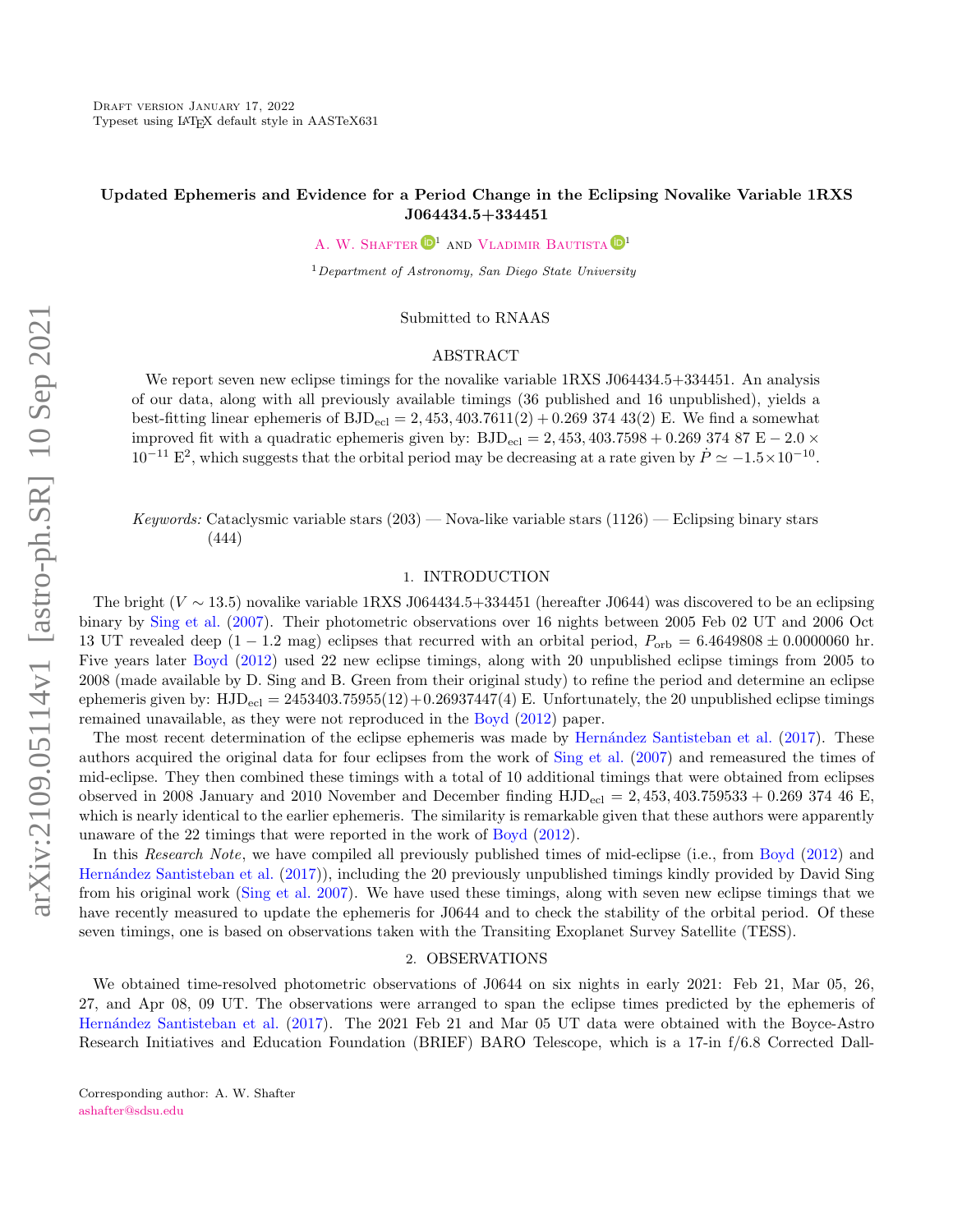# Updated Ephemeris and Evidence for a Period Change in the Eclipsing Novalike Variable 1RXS J064434.5+334451

A. W. SHAFTER  $\mathbf{D}^1$  and [Vladimir Bautista](http://orcid.org/0000-0002-1450-8644)  $\mathbf{D}^1$ 

 $1$ Department of Astronomy, San Diego State University

Submitted to RNAAS

### ABSTRACT

We report seven new eclipse timings for the novalike variable 1RXS J064434.5+334451. An analysis of our data, along with all previously available timings (36 published and 16 unpublished), yields a best-fitting linear ephemeris of  $BJD_{ec1} = 2,453,403.7611(2) + 0.26937443(2)$  E. We find a somewhat improved fit with a quadratic ephemeris given by:  $BJD_{\text{ecl}} = 2,453,403.7598 + 0.26937487 \text{ E} - 2.0 \times$  $10^{-11}$  E<sup>2</sup>, which suggests that the orbital period may be decreasing at a rate given by  $\dot{P} \simeq -1.5 \times 10^{-10}$ .

Keywords: Cataclysmic variable stars  $(203)$  — Nova-like variable stars  $(1126)$  — Eclipsing binary stars (444)

### 1. INTRODUCTION

The bright ( $V \sim 13.5$ ) novalike variable 1RXS J064434.5+334451 (hereafter J0644) was discovered to be an eclipsing binary by [Sing et al.](#page-2-0) [\(2007\)](#page-2-0). Their photometric observations over 16 nights between 2005 Feb 02 UT and 2006 Oct 13 UT revealed deep  $(1 - 1.2 \text{ mag})$  eclipses that recurred with an orbital period,  $P_{\text{orb}} = 6.4649808 \pm 0.0000060 \text{ hr}$ . Five years later [Boyd](#page-2-1) [\(2012\)](#page-2-1) used 22 new eclipse timings, along with 20 unpublished eclipse timings from 2005 to 2008 (made available by D. Sing and B. Green from their original study) to refine the period and determine an eclipse ephemeris given by:  $HJD_{\text{ecl}} = 2453403.75955(12) + 0.26937447(4)$  E. Unfortunately, the 20 unpublished eclipse timings remained unavailable, as they were not reproduced in the [Boyd](#page-2-1) [\(2012\)](#page-2-1) paper.

The most recent determination of the eclipse ephemeris was made by Hernández Santisteban et al. [\(2017\)](#page-2-2). These authors acquired the original data for four eclipses from the work of [Sing et al.](#page-2-0) [\(2007\)](#page-2-0) and remeasured the times of mid-eclipse. They then combined these timings with a total of 10 additional timings that were obtained from eclipses observed in 2008 January and 2010 November and December finding  $HJD_{\text{ecl}} = 2,453,403.759533 + 0.269374$  46 E, which is nearly identical to the earlier ephemeris. The similarity is remarkable given that these authors were apparently unaware of the 22 timings that were reported in the work of [Boyd](#page-2-1) [\(2012\)](#page-2-1).

In this Research Note, we have compiled all previously published times of mid-eclipse (i.e., from [Boyd](#page-2-1) [\(2012\)](#page-2-1) and [Hern´andez Santisteban et al.](#page-2-2) [\(2017\)](#page-2-2)), including the 20 previously unpublished timings kindly provided by David Sing from his original work [\(Sing et al.](#page-2-0) [2007\)](#page-2-0). We have used these timings, along with seven new eclipse timings that we have recently measured to update the ephemeris for J0644 and to check the stability of the orbital period. Of these seven timings, one is based on observations taken with the Transiting Exoplanet Survey Satellite (TESS).

## 2. OBSERVATIONS

We obtained time-resolved photometric observations of J0644 on six nights in early 2021: Feb 21, Mar 05, 26, 27, and Apr 08, 09 UT. The observations were arranged to span the eclipse times predicted by the ephemeris of [Hern´andez Santisteban et al.](#page-2-2) [\(2017\)](#page-2-2). The 2021 Feb 21 and Mar 05 UT data were obtained with the Boyce-Astro Research Initiatives and Education Foundation (BRIEF) BARO Telescope, which is a 17-in f/6.8 Corrected Dall-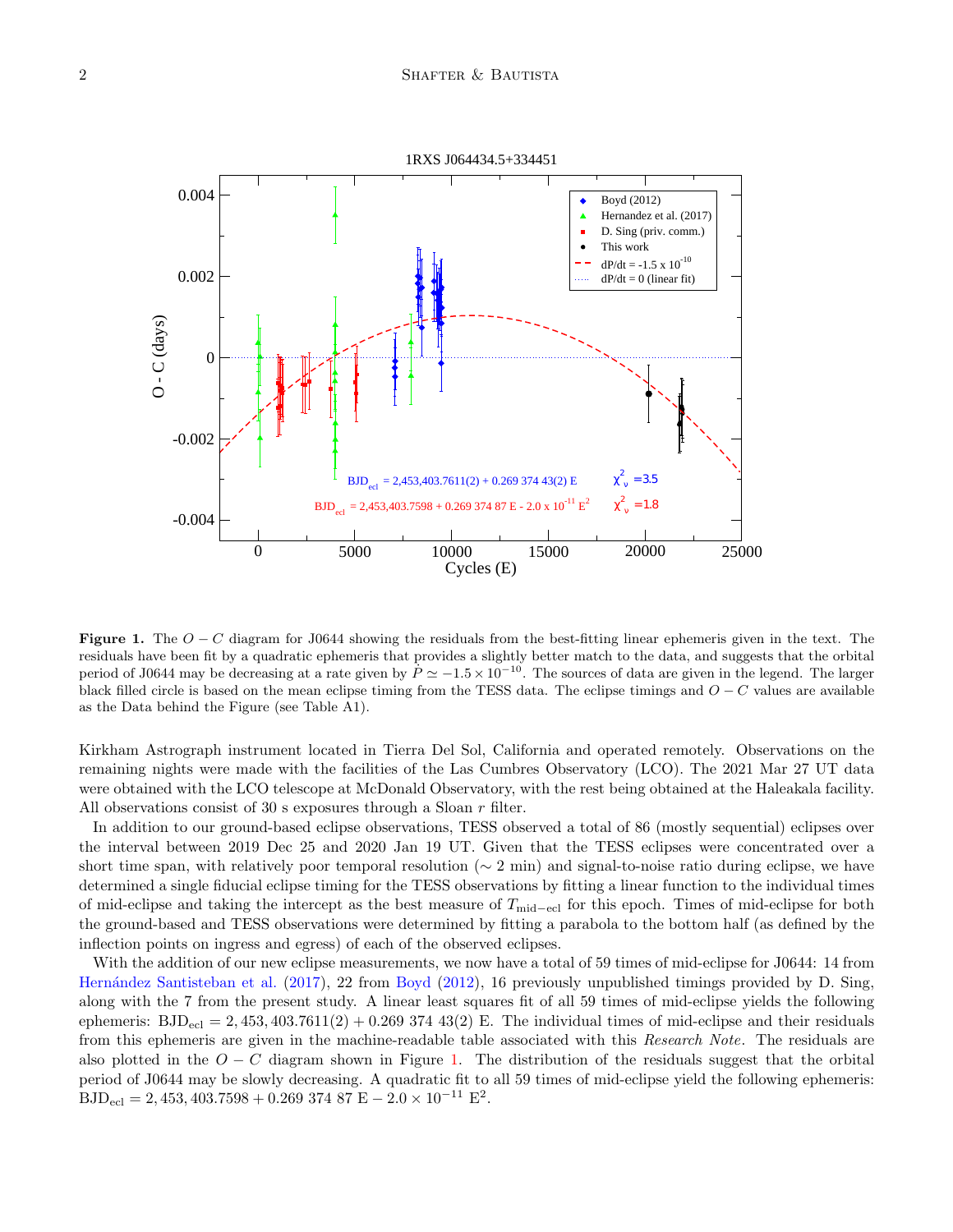

<span id="page-1-0"></span>Figure 1. The  $O - C$  diagram for J0644 showing the residuals from the best-fitting linear ephemeris given in the text. The residuals have been fit by a quadratic ephemeris that provides a slightly better match to the data, and suggests that the orbital period of J0644 may be decreasing at a rate given by  $\dot{P} \simeq -1.5 \times 10^{-10}$ . The sources of data are given in the legend. The larger black filled circle is based on the mean eclipse timing from the TESS data. The eclipse timings and  $O - C$  values are available as the Data behind the Figure (see Table A1).

Kirkham Astrograph instrument located in Tierra Del Sol, California and operated remotely. Observations on the remaining nights were made with the facilities of the Las Cumbres Observatory (LCO). The 2021 Mar 27 UT data were obtained with the LCO telescope at McDonald Observatory, with the rest being obtained at the Haleakala facility. All observations consist of 30 s exposures through a Sloan r filter.

In addition to our ground-based eclipse observations, TESS observed a total of 86 (mostly sequential) eclipses over the interval between 2019 Dec 25 and 2020 Jan 19 UT. Given that the TESS eclipses were concentrated over a short time span, with relatively poor temporal resolution ( $\sim 2$  min) and signal-to-noise ratio during eclipse, we have determined a single fiducial eclipse timing for the TESS observations by fitting a linear function to the individual times of mid-eclipse and taking the intercept as the best measure of  $T_{\text{mid}-\text{ecl}}$  for this epoch. Times of mid-eclipse for both the ground-based and TESS observations were determined by fitting a parabola to the bottom half (as defined by the inflection points on ingress and egress) of each of the observed eclipses.

With the addition of our new eclipse measurements, we now have a total of 59 times of mid-eclipse for J0644: 14 from Hernández Santisteban et al. [\(2017\)](#page-2-2), 22 from [Boyd](#page-2-1) [\(2012\)](#page-2-1), 16 previously unpublished timings provided by D. Sing, along with the 7 from the present study. A linear least squares fit of all 59 times of mid-eclipse yields the following ephemeris:  $BJD_{\text{ecl}} = 2,453,403.7611(2) + 0.2693743(2)$  E. The individual times of mid-eclipse and their residuals from this ephemeris are given in the machine-readable table associated with this Research Note. The residuals are also plotted in the  $O - C$  diagram shown in Figure [1.](#page-1-0) The distribution of the residuals suggest that the orbital period of J0644 may be slowly decreasing. A quadratic fit to all 59 times of mid-eclipse yield the following ephemeris:  $\text{BJD}_{\text{ecl}} = 2,453,403.7598 + 0.269\,374\,87\,\text{E} - 2.0 \times 10^{-11}\,\text{E}^2.$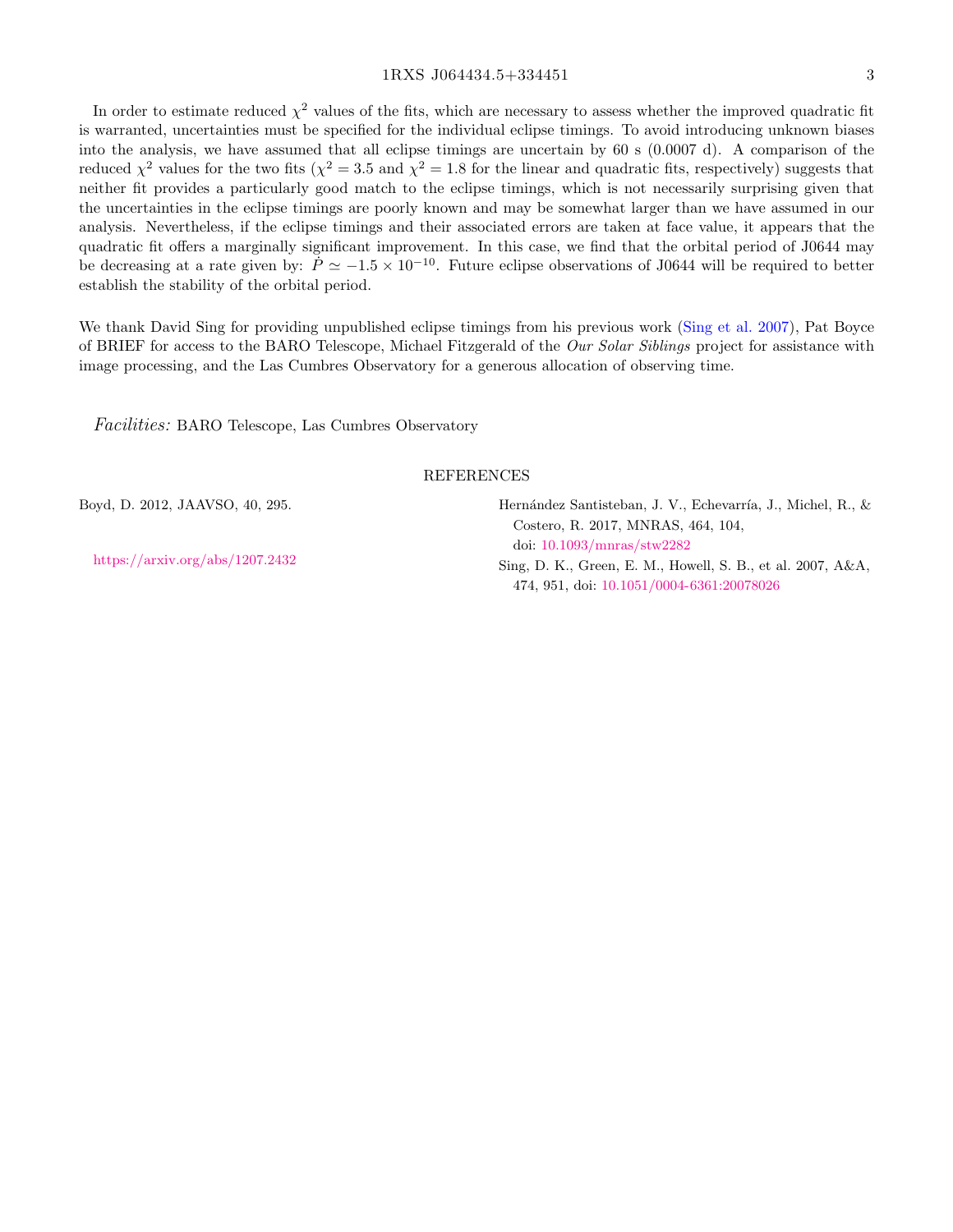## 1RXS J064434.5+334451 3

In order to estimate reduced  $\chi^2$  values of the fits, which are necessary to assess whether the improved quadratic fit is warranted, uncertainties must be specified for the individual eclipse timings. To avoid introducing unknown biases into the analysis, we have assumed that all eclipse timings are uncertain by 60 s (0.0007 d). A comparison of the reduced  $\chi^2$  values for the two fits ( $\chi^2 = 3.5$  and  $\chi^2 = 1.8$  for the linear and quadratic fits, respectively) suggests that neither fit provides a particularly good match to the eclipse timings, which is not necessarily surprising given that the uncertainties in the eclipse timings are poorly known and may be somewhat larger than we have assumed in our analysis. Nevertheless, if the eclipse timings and their associated errors are taken at face value, it appears that the quadratic fit offers a marginally significant improvement. In this case, we find that the orbital period of J0644 may be decreasing at a rate given by:  $\dot{P} \simeq -1.5 \times 10^{-10}$ . Future eclipse observations of J0644 will be required to better establish the stability of the orbital period.

We thank David Sing for providing unpublished eclipse timings from his previous work [\(Sing et al.](#page-2-0) [2007\)](#page-2-0), Pat Boyce of BRIEF for access to the BARO Telescope, Michael Fitzgerald of the Our Solar Siblings project for assistance with image processing, and the Las Cumbres Observatory for a generous allocation of observing time.

Facilities: BARO Telescope, Las Cumbres Observatory

#### REFERENCES

<span id="page-2-1"></span>Boyd, D. 2012, JAAVSO, 40, 295.

<https://arxiv.org/abs/1207.2432>

<span id="page-2-2"></span>Hernández Santisteban, J. V., Echevarría, J., Michel, R., & Costero, R. 2017, MNRAS, 464, 104, doi: [10.1093/mnras/stw2282](http://doi.org/10.1093/mnras/stw2282)

<span id="page-2-0"></span>Sing, D. K., Green, E. M., Howell, S. B., et al. 2007, A&A, 474, 951, doi: [10.1051/0004-6361:20078026](http://doi.org/10.1051/0004-6361:20078026)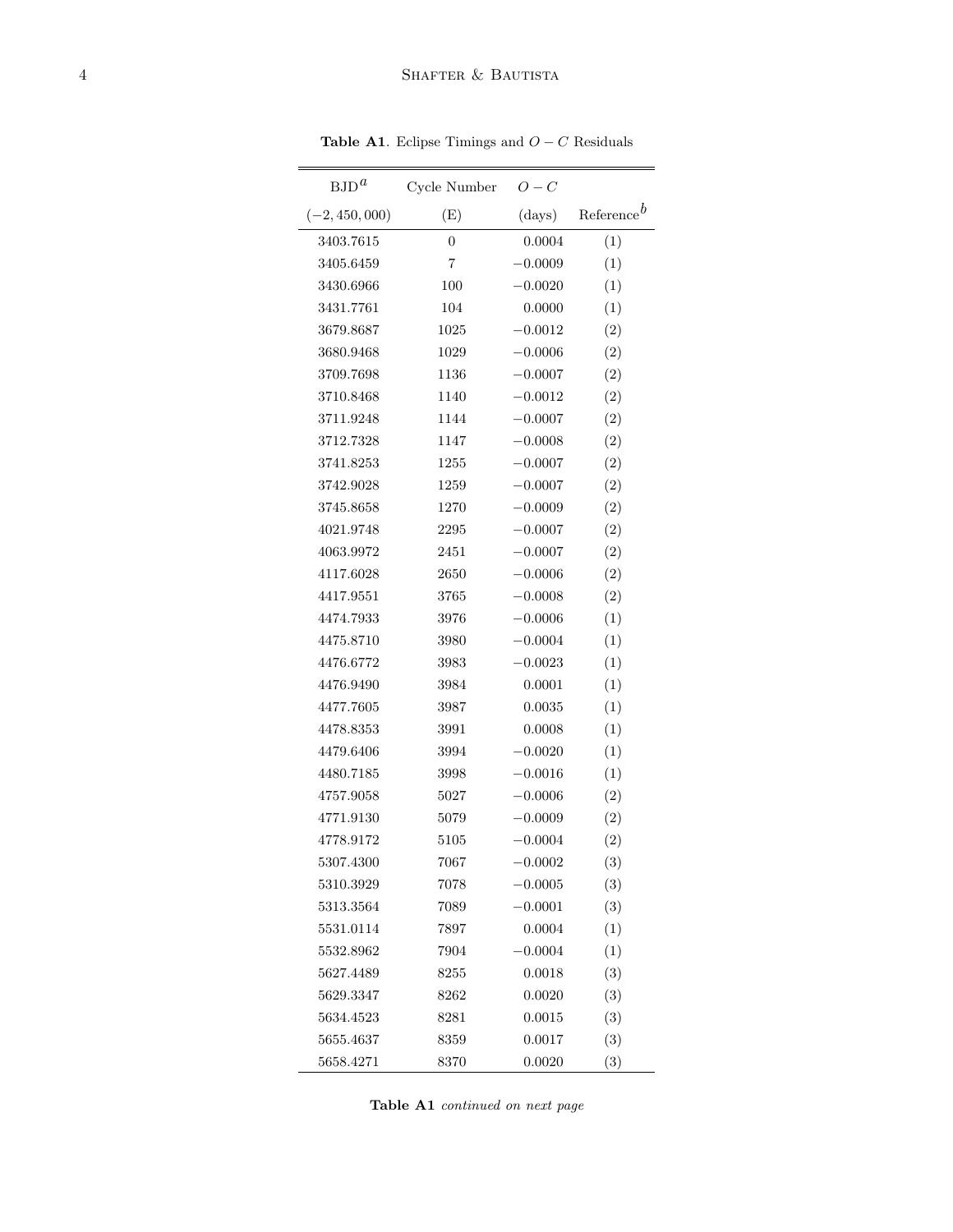| $BJD^a$          | Cycle Number   | $O-C$     |                        |
|------------------|----------------|-----------|------------------------|
| $(-2, 450, 000)$ | (E)            | (days)    | Reference <sup>b</sup> |
| 3403.7615        | $\overline{0}$ | 0.0004    | (1)                    |
| 3405.6459        | $\overline{7}$ | $-0.0009$ | (1)                    |
| 3430.6966        | 100            | $-0.0020$ | (1)                    |
| 3431.7761        | 104            | 0.0000    | (1)                    |
| 3679.8687        | 1025           | $-0.0012$ | (2)                    |
| 3680.9468        | 1029           | $-0.0006$ | (2)                    |
| 3709.7698        | 1136           | $-0.0007$ | (2)                    |
| 3710.8468        | 1140           | $-0.0012$ | (2)                    |
| 3711.9248        | 1144           | $-0.0007$ | (2)                    |
| 3712.7328        | 1147           | $-0.0008$ | (2)                    |
| 3741.8253        | 1255           | $-0.0007$ | (2)                    |
| 3742.9028        | 1259           | $-0.0007$ | (2)                    |
| 3745.8658        | 1270           | $-0.0009$ | (2)                    |
| 4021.9748        | 2295           | $-0.0007$ | (2)                    |
| 4063.9972        | 2451           | $-0.0007$ | (2)                    |
| 4117.6028        | 2650           | $-0.0006$ | (2)                    |
| 4417.9551        | 3765           | $-0.0008$ | (2)                    |
| 4474.7933        | 3976           | $-0.0006$ | (1)                    |
| 4475.8710        | 3980           | $-0.0004$ | (1)                    |
| 4476.6772        | 3983           | $-0.0023$ | (1)                    |
| 4476.9490        | 3984           | 0.0001    | (1)                    |
| 4477.7605        | 3987           | 0.0035    | (1)                    |
| 4478.8353        | 3991           | 0.0008    | (1)                    |
| 4479.6406        | 3994           | $-0.0020$ | (1)                    |
| 4480.7185        | 3998           | $-0.0016$ | (1)                    |
| 4757.9058        | 5027           | $-0.0006$ | (2)                    |
| 4771.9130        | 5079           | $-0.0009$ | (2)                    |
| 4778.9172        | 5105           | $-0.0004$ | (2)                    |
| 5307.4300        | 7067           | $-0.0002$ | (3)                    |
| 5310.3929        | 7078           | $-0.0005$ | (3)                    |
| 5313.3564        | 7089           | $-0.0001$ | (3)                    |
| 5531.0114        | 7897           | 0.0004    | (1)                    |
| 5532.8962        | 7904           | $-0.0004$ | (1)                    |
| 5627.4489        | 8255           | 0.0018    | (3)                    |
| 5629.3347        | 8262           | 0.0020    | (3)                    |
| 5634.4523        | 8281           | 0.0015    | (3)                    |
| 5655.4637        | 8359           | 0.0017    | (3)                    |
| 5658.4271        | 8370           | 0.0020    | (3)                    |

Table A1. Eclipse Timings and  $O - C$  Residuals

Table A1 continued on next page